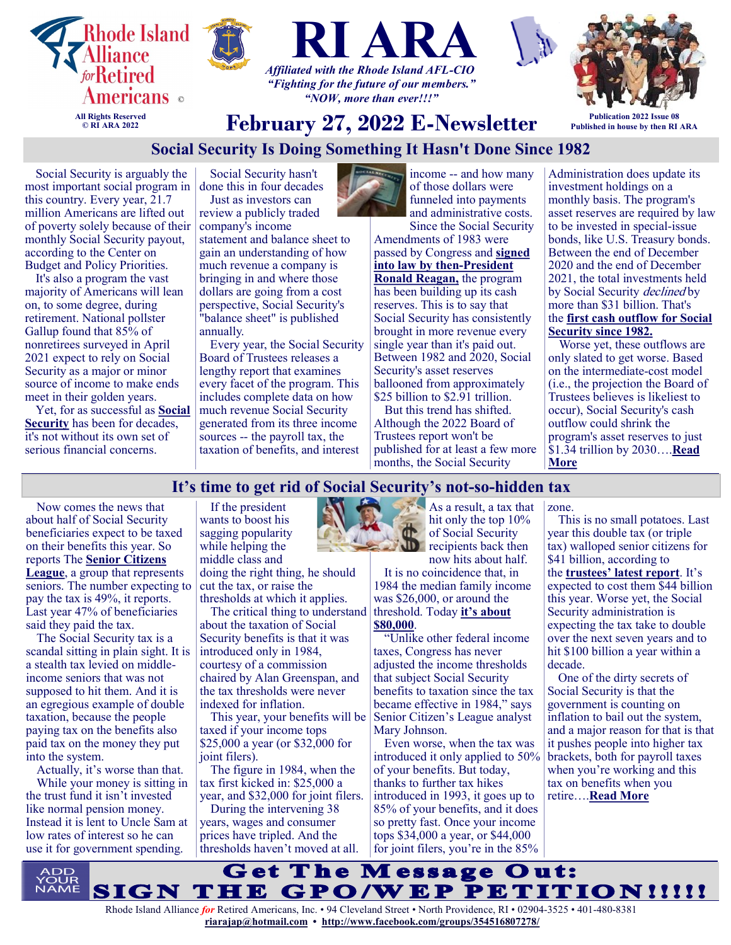





*"NOW, more than ever!!!"*



**Published in house by then RI ARA**

# **February 27, 2022 E-Newsletter**

# **Social Security Is Doing Something It Hasn't Done Since 1982**

Social Security is arguably the most important social program in this country. Every year, 21.7 million Americans are lifted out of poverty solely because of their monthly Social Security payout, according to the Center on Budget and Policy Priorities.

It's also a program the vast majority of Americans will lean on, to some degree, during retirement. National pollster Gallup found that 85% of nonretirees surveyed in April 2021 expect to rely on Social Security as a major or minor source of income to make ends meet in their golden years.

Yet, for as successful as **[Social](https://www.fool.com/retirement/social-security/?utm_source=msnrss&utm_medium=feed&utm_campaign=article&referring_guid=4a1f9ed3-5cba-4491-9da3-5f876ff16757)  [Security](https://www.fool.com/retirement/social-security/?utm_source=msnrss&utm_medium=feed&utm_campaign=article&referring_guid=4a1f9ed3-5cba-4491-9da3-5f876ff16757)** has been for decades, it's not without its own set of serious financial concerns.

Social Security hasn't done this in four decades

Just as investors can review a publicly traded company's income statement and balance sheet to gain an understanding of how much revenue a company is bringing in and where those dollars are going from a cost perspective, Social Security's "balance sheet" is published annually.

Every year, the Social Security Board of Trustees releases a lengthy report that examines every facet of the program. This includes complete data on how much revenue Social Security generated from its three income sources -- the payroll tax, the taxation of benefits, and interest



income -- and how many of those dollars were funneled into payments and administrative costs.

Since the Social Security Amendments of 1983 were passed by Congress and **[signed](https://www.fool.com/retirement/2018/11/23/every-presidents-biggest-social-security-contribut.aspx?utm_source=msnrss&utm_medium=feed&utm_campaign=article&referring_guid=4a1f9ed3-5cba-4491-9da3-5f876ff16757)  [into law by then](https://www.fool.com/retirement/2018/11/23/every-presidents-biggest-social-security-contribut.aspx?utm_source=msnrss&utm_medium=feed&utm_campaign=article&referring_guid=4a1f9ed3-5cba-4491-9da3-5f876ff16757)-President [Ronald Reagan,](https://www.fool.com/retirement/2018/11/23/every-presidents-biggest-social-security-contribut.aspx?utm_source=msnrss&utm_medium=feed&utm_campaign=article&referring_guid=4a1f9ed3-5cba-4491-9da3-5f876ff16757)** the program has been building up its cash reserves. This is to say that Social Security has consistently brought in more revenue every single year than it's paid out. Between 1982 and 2020, Social Security's asset reserves ballooned from approximately \$25 billion to \$2.91 trillion.

But this trend has shifted. Although the 2022 Board of Trustees report won't be published for at least a few more months, the Social Security

Administration does update its investment holdings on a monthly basis. The program's asset reserves are required by law to be invested in special-issue bonds, like U.S. Treasury bonds. Between the end of December 2020 and the end of December 2021, the total investments held by Social Security *declined* by more than \$31 billion. That's the **[first cash outflow for Social](https://www.fool.com/retirement/2020/09/20/165-million-americans-witness-social-security-firs/?utm_source=msnrss&utm_medium=feed&utm_campaign=article&referring_guid=4a1f9ed3-5cba-4491-9da3-5f876ff16757)  [Security since 1982.](https://www.fool.com/retirement/2020/09/20/165-million-americans-witness-social-security-firs/?utm_source=msnrss&utm_medium=feed&utm_campaign=article&referring_guid=4a1f9ed3-5cba-4491-9da3-5f876ff16757)**

Worse yet, these outflows are only slated to get worse. Based on the intermediate-cost model (i.e., the projection the Board of Trustees believes is likeliest to occur), Social Security's cash outflow could shrink the program's asset reserves to just \$1.34 trillion by 2030….**[Read](https://www.msn.com/en-us/money/retirement/social-security-is-doing-something-it-hasn-t-done-since-1982/ar-AAU5pJz?ocid=SK2DDHP)  [More](https://www.msn.com/en-us/money/retirement/social-security-is-doing-something-it-hasn-t-done-since-1982/ar-AAU5pJz?ocid=SK2DDHP)**

# **It's time to get rid of Social Security's not-so-hidden tax**

Now comes the news that about half of Social Security beneficiaries expect to be taxed on their benefits this year. So reports The **[Senior Citizens](https://seniorsleague.org/half-of-all-social-security-households-may-pay-tax-on-benefits/)  [League](https://seniorsleague.org/half-of-all-social-security-households-may-pay-tax-on-benefits/)**, a group that represents seniors. The number expecting to pay the tax is 49%, it reports. Last year 47% of beneficiaries said they paid the tax.

The Social Security tax is a scandal sitting in plain sight. It is a stealth tax levied on middleincome seniors that was not supposed to hit them. And it is an egregious example of double taxation, because the people paying tax on the benefits also paid tax on the money they put into the system.

Actually, it's worse than that. While your money is sitting in the trust fund it isn't invested like normal pension money. Instead it is lent to Uncle Sam at low rates of interest so he can use it for government spending.

If the president wants to boost his sagging popularity while helping the middle class and doing the right thing, he should cut the tax, or raise the

thresholds at which it applies. The critical thing to understand

about the taxation of Social Security benefits is that it was introduced only in 1984, courtesy of a commission chaired by Alan Greenspan, and the tax thresholds were never indexed for inflation.

This year, your benefits will be taxed if your income tops \$25,000 a year (or \$32,000 for ioint filers).

The figure in 1984, when the tax first kicked in: \$25,000 a year, and \$32,000 for joint filers.

During the intervening 38 years, wages and consumer prices have tripled. And the thresholds haven't moved at all.



As a result, a tax that hit only the top 10% of Social Security recipients back then

now hits about half. It is no coincidence that, in 1984 the median family income was \$26,000, or around the threshold. Today **[it's about](https://www.huduser.gov/portal/datasets/il/il21/Medians2021.pdf)  [\\$80,000](https://www.huduser.gov/portal/datasets/il/il21/Medians2021.pdf)**.

"Unlike other federal income taxes, Congress has never adjusted the income thresholds that subject Social Security benefits to taxation since the tax became effective in 1984," says Senior Citizen's League analyst Mary Johnson.

Even worse, when the tax was introduced it only applied to 50% of your benefits. But today, thanks to further tax hikes introduced in 1993, it goes up to 85% of your benefits, and it does so pretty fast. Once your income tops \$34,000 a year, or \$44,000 for joint filers, you're in the 85%

zone.

This is no small potatoes. Last year this double tax (or triple tax) walloped senior citizens for \$41 billion, according to the **[trustees' latest report](https://www.ssa.gov/oact/TR/2021/tr2021.pdf)**. It's expected to cost them \$44 billion this year. Worse yet, the Social Security administration is expecting the tax take to double over the next seven years and to hit \$100 billion a year within a decade.

One of the dirty secrets of Social Security is that the government is counting on inflation to bail out the system, and a major reason for that is that it pushes people into higher tax brackets, both for payroll taxes when you're working and this tax on benefits when you retire….**[Read More](https://www.msn.com/en-us/money/personalfinance/its-time-to-get-rid-of-social-securitys-not-so-hidden-tax/ar-AAUdFoX?ocid=SK2DDHP&li=BBnbfcL)**

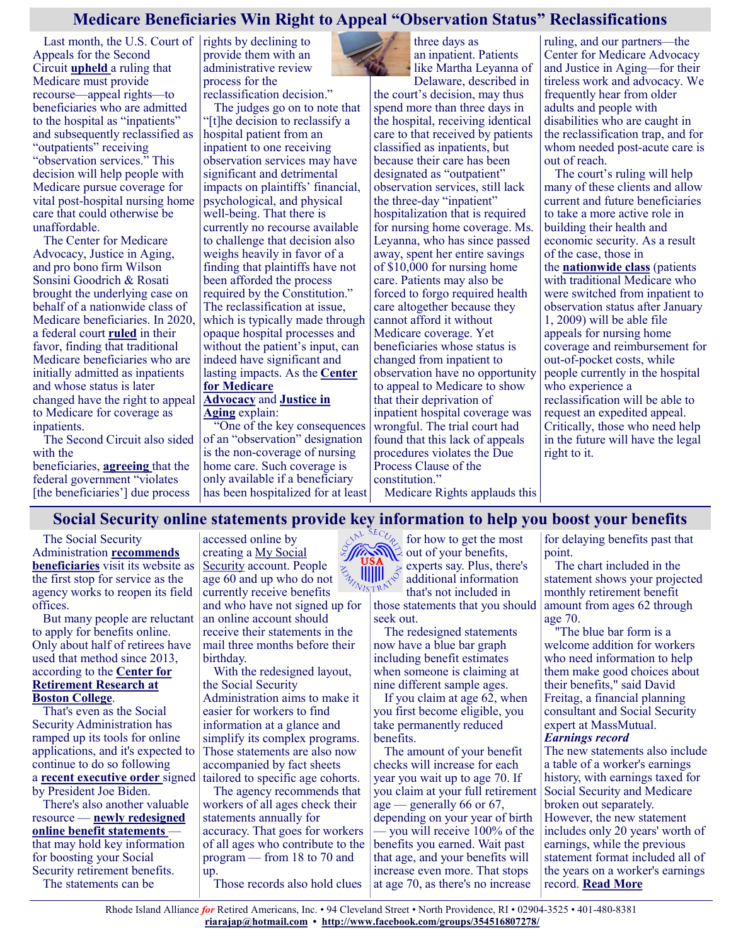# **Medicare Beneficiaries Win Right to Appeal "Observation Status" Reclassifications**

Last month, the U.S. Court of  $|$  rights by declining to Appeals for the Second Circuit **[upheld](https://medicareadvocacy.org/wp-content/uploads/2022/01/Barrows-Opinion-1-25-2022.pdf)** a ruling that Medicare must provide recourse—appeal rights—to beneficiaries who are admitted to the hospital as "inpatients" and subsequently reclassified as "outpatients" receiving "observation services." This decision will help people with Medicare pursue coverage for vital post-hospital nursing home care that could otherwise be unaffordable.

The Center for Medicare Advocacy, Justice in Aging, and pro bono firm Wilson Sonsini Goodrich & Rosati brought the underlying case on behalf of a nationwide class of Medicare beneficiaries. In 2020, a federal court **[ruled](https://medicareadvocacy.org/wp-content/uploads/2020/03/2020-03-24-Dkt.-439-Memorandum-of-Decision.pdf)** in their favor, finding that traditional Medicare beneficiaries who are initially admitted as inpatients and whose status is later changed have the right to appeal to Medicare for coverage as inpatients.

The Second Circuit also sided with the beneficiaries, **[agreeing](https://medicareadvocacy.org/wp-content/uploads/2022/01/Barrows-Opinion-1-25-2022.pdf)** that the federal government "violates [the beneficiaries'] due process

provide them with an administrative review process for the reclassification decision."

The judges go on to note that "[t]he decision to reclassify a hospital patient from an inpatient to one receiving observation services may have significant and detrimental impacts on plaintiffs' financial, psychological, and physical well-being. That there is currently no recourse available to challenge that decision also weighs heavily in favor of a finding that plaintiffs have not been afforded the process required by the Constitution." The reclassification at issue, which is typically made through opaque hospital processes and without the patient's input, can indeed have significant and lasting impacts. As the **[Center](https://medicareadvocacy.org/observation-appeal-rights-upheld/)  [for Medicare](https://medicareadvocacy.org/observation-appeal-rights-upheld/)  [Advocacy](https://medicareadvocacy.org/observation-appeal-rights-upheld/)** and **[Justice in](https://justiceinaging.org/a-nationwide-class-of-plaintiffs-wins-right-to-appeal-hospital-observation-status-classifications/)  [Aging](https://justiceinaging.org/a-nationwide-class-of-plaintiffs-wins-right-to-appeal-hospital-observation-status-classifications/)** explain:

"One of the key consequences of an "observation" designation is the non-coverage of nursing home care. Such coverage is only available if a beneficiary has been hospitalized for at least three days as an inpatient. Patients like Martha Leyanna of

Delaware, described in the court's decision, may thus spend more than three days in the hospital, receiving identical care to that received by patients classified as inpatients, but because their care has been designated as "outpatient" observation services, still lack the three-day "inpatient" hospitalization that is required for nursing home coverage. Ms. Leyanna, who has since passed away, spent her entire savings of \$10,000 for nursing home care. Patients may also be forced to forgo required health care altogether because they cannot afford it without Medicare coverage. Yet beneficiaries whose status is changed from inpatient to observation have no opportunity to appeal to Medicare to show that their deprivation of inpatient hospital coverage was wrongful. The trial court had found that this lack of appeals procedures violates the Due Process Clause of the constitution."

Medicare Rights applauds this

ruling, and our partners—the Center for Medicare Advocacy and Justice in Aging—for their tireless work and advocacy. We frequently hear from older adults and people with disabilities who are caught in the reclassification trap, and for whom needed post-acute care is out of reach.

The court's ruling will help many of these clients and allow current and future beneficiaries to take a more active role in building their health and economic security. As a result of the case, those in the **[nationwide class](https://medicareadvocacy.org/frequently-asked-questions-about-the-observation-status-court-decision/)** (patients with traditional Medicare who were switched from inpatient to observation status after January 1, 2009) will be able file appeals for nursing home coverage and reimbursement for out-of-pocket costs, while people currently in the hospital who experience a reclassification will be able to request an expedited appeal. Critically, those who need help in the future will have the legal right to it.

# **Social Security online statements provide key information to help you boost your benefits**

The Social Security Administration **[recommends](https://www.cnbc.com/2022/02/16/social-security-beneficiaries-applicants-complain-about-long-waits.html?&doc=107017685)  [beneficiaries](https://www.cnbc.com/2022/02/16/social-security-beneficiaries-applicants-complain-about-long-waits.html?&doc=107017685)** visit its website as the first stop for service as the agency works to reopen its field offices.

But many people are reluctant to apply for benefits online. Only about half of retirees have used that method since 2013, according to the **[Center for](https://crr.bc.edu/working-papers/how-to-increase-usage-of-ssas-online-tools/)  [Retirement Research at](https://crr.bc.edu/working-papers/how-to-increase-usage-of-ssas-online-tools/)  [Boston College](https://crr.bc.edu/working-papers/how-to-increase-usage-of-ssas-online-tools/)**.

That's even as the Social Security Administration has ramped up its tools for online applications, and it's expected to continue to do so following a **[recent executive order](https://www.cnbc.com/2021/12/16/how-biden-wants-to-improve-social-securitys-online-services.html?&doc=107017685)** signed by President Joe Biden.

There's also another valuable resource — **[newly redesigned](https://www.ssa.gov/news/press/releases/2021/#10-2021-1)  [online benefit statements](https://www.ssa.gov/news/press/releases/2021/#10-2021-1)** that may hold key information for boosting your Social Security retirement benefits. The statements can be

accessed online by creating a [My Social](https://www.ssa.gov/myaccount/?gclid=Cj0KCQiA-K2MBhC-ARIsAMtLKRtPEDdvbMVE6GrxMfaLFMXeiElYoY6wqlnNDNkPikTiA0sj-GEQE3QaAmEeEALw_wcB)  [Security](https://www.ssa.gov/myaccount/?gclid=Cj0KCQiA-K2MBhC-ARIsAMtLKRtPEDdvbMVE6GrxMfaLFMXeiElYoY6wqlnNDNkPikTiA0sj-GEQE3QaAmEeEALw_wcB) account. People age 60 and up who do not currently receive benefits and who have not signed up for an online account should receive their statements in the mail three months before their birthday.

With the redesigned layout, the Social Security Administration aims to make it easier for workers to find information at a glance and simplify its complex programs. Those statements are also now accompanied by fact sheets tailored to specific age cohorts.

The agency recommends that workers of all ages check their statements annually for accuracy. That goes for workers of all ages who contribute to the program — from 18 to 70 and up.

Those records also hold clues

 $\cos^{b}$ <sup>SEC<sub> $c_{e}$ </sub> for how to get the most</sup> out of your benefits, experts say. Plus, there's additional information that's not included in

those statements that you should seek out.

The redesigned statements now have a blue bar graph including benefit estimates when someone is claiming at nine different sample ages.

If you claim at age 62, when you first become eligible, you take permanently reduced benefits.

The amount of your benefit checks will increase for each year you wait up to age 70. If you claim at your full retirement age — generally 66 or 67, depending on your year of birth — you will receive 100% of the benefits you earned. Wait past that age, and your benefits will increase even more. That stops at age 70, as there's no increase

for delaying benefits past that point.

The chart included in the statement shows your projected monthly retirement benefit amount from ages 62 through age 70.

"The blue bar form is a welcome addition for workers who need information to help them make good choices about their benefits," said David Freitag, a financial planning consultant and Social Security expert at MassMutual. *Earnings record*

The new statements also include a table of a worker's earnings history, with earnings taxed for Social Security and Medicare broken out separately. However, the new statement includes only 20 years' worth of earnings, while the previous statement format included all of the years on a worker's earnings record. **[Read More](https://www.msn.com/en-us/money/retirement/social-security-online-statements-provide-key-information-to-help-you-boost-your-benefits/ar-AAU5IH1?ocid=SK2DDHP)**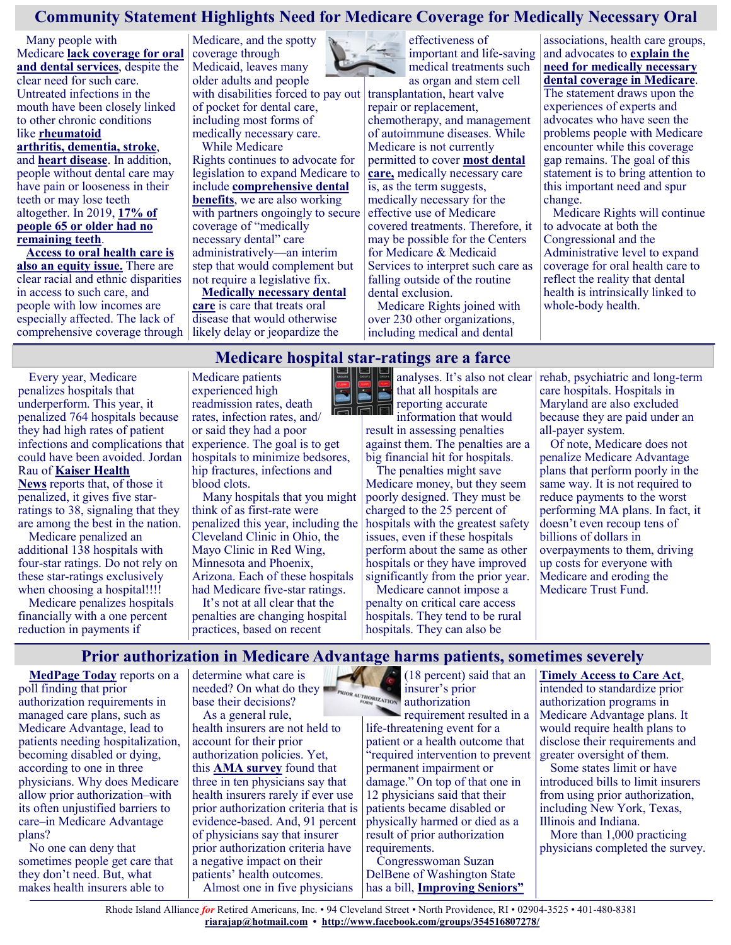# **Community Statement Highlights Need for Medicare Coverage for Medically Necessary Oral**

Many people with Medicare **[lack coverage for oral](https://www.kff.org/medicare/issue-brief/medicare-and-dental-coverage-a-closer-look/)  [and dental services](https://www.kff.org/medicare/issue-brief/medicare-and-dental-coverage-a-closer-look/)**, despite the clear need for such care. Untreated infections in the mouth have been closely linked to other chronic conditions like **[rheumatoid](https://pubmed.ncbi.nlm.nih.gov/27820156/)** 

**[arthritis,](https://pubmed.ncbi.nlm.nih.gov/27820156/) dementia, stroke**, and **[heart disease](https://newsroom.heart.org/news/poor-oral-health-linked-to-higher-blood-pressure-worse-blood-pressure-control#.WV5I-4QrKUm)**. In addition, people without dental care may have pain or looseness in their teeth or may lose teeth altogether. In 2019, **[17% of](https://www.cdc.gov/oralhealth/publications/OHSR-2019-edentulism-tooth-retention.html)  [people 65 or older had no](https://www.cdc.gov/oralhealth/publications/OHSR-2019-edentulism-tooth-retention.html)  [remaining teeth](https://www.cdc.gov/oralhealth/publications/OHSR-2019-edentulism-tooth-retention.html)**.

**[Access to oral health care is](https://www.ncbi.nlm.nih.gov/pmc/articles/PMC7125002/)  [also an equity issue.](https://www.ncbi.nlm.nih.gov/pmc/articles/PMC7125002/)** There are clear racial and ethnic disparities in access to such care, and people with low incomes are especially affected. The lack of comprehensive coverage through

Medicare, and the spotty coverage through Medicaid, leaves many older adults and people with disabilities forced to pay out of pocket for dental care, including most forms of medically necessary care. While Medicare

Rights [continues to advocate](https://www.medicarerights.org/medicare-watch/2021/09/09/why-people-with-medicare-need-access-to-more-universal-benefits) for legislation to expand Medicare to include **[comprehensive dental](https://www.medicarerights.org/medicare-watch/2021/08/12/report-highlights-impact-of-medicares-dental-exclusion-particularly-on-beneficiaries-of-color)  [benefits](https://www.medicarerights.org/medicare-watch/2021/08/12/report-highlights-impact-of-medicares-dental-exclusion-particularly-on-beneficiaries-of-color)**, we are also working with partners ongoingly to secure coverage of "medically necessary dental" care administratively—an interim step that would complement but not require a legislative fix.

**[Medically necessary dental](https://www.ncbi.nlm.nih.gov/books/NBK225261/)  [care](https://www.ncbi.nlm.nih.gov/books/NBK225261/)** is care that treats oral disease that would otherwise likely delay or jeopardize the



effectiveness of important and life-saving medical treatments such as organ and stem cell

transplantation, heart valve repair or replacement, chemotherapy, and management of autoimmune diseases. While Medicare is not currently permitted to cover **[most dental](https://www.medicare.gov/coverage/dental-services)  [care,](https://www.medicare.gov/coverage/dental-services)** medically necessary care is, as the term suggests, medically necessary for the effective use of Medicare covered treatments. Therefore, it may be possible for the Centers for Medicare & Medicaid Services to interpret such care as falling outside of the routine dental exclusion.

Medicare Rights joined with over 230 other organizations, including medical and dental

and advocates to **[explain the](https://www.medicarerights.org/policy-documents/community-statement-on-medicare-coverage-for-medically-necessary-oral-and-dental-health-therapies)  [need for medically necessary](https://www.medicarerights.org/policy-documents/community-statement-on-medicare-coverage-for-medically-necessary-oral-and-dental-health-therapies)  [dental coverage in Medicare](https://www.medicarerights.org/policy-documents/community-statement-on-medicare-coverage-for-medically-necessary-oral-and-dental-health-therapies)**. The statement draws upon the experiences of experts and advocates who have seen the problems people with Medicare encounter while this coverage gap remains. The goal of this statement is to bring attention to this important need and spur change.

associations, health care groups,

Medicare Rights will continue to advocate at both the Congressional and the Administrative level to expand coverage for oral health care to reflect the reality that dental health is intrinsically linked to whole-body health.

### **Medicare hospital star-ratings are a farce**

Every year, Medicare penalizes hospitals that underperform. This year, it penalized 764 hospitals because they had high rates of patient infections and complications that could have been avoided. Jordan Rau of **[Kaiser Health](https://khn.org/news/article/health-care-paradox-medicare-penalizes-dozens-of-hospitals-it-also-gives-five-stars/)** 

**[News](https://khn.org/news/article/health-care-paradox-medicare-penalizes-dozens-of-hospitals-it-also-gives-five-stars/)** reports that, of those it penalized, it gives five starratings to 38, signaling that they are among the best in the nation.

Medicare penalized an additional 138 hospitals with four-star ratings. Do not rely on these star-ratings exclusively when choosing a hospital!!!!

Medicare penalizes hospitals financially with a one percent reduction in payments if

Medicare patients experienced high readmission rates, death rates, infection rates, and/ or said they had a poor experience. The goal is to get hospitals to minimize bedsores, hip fractures, infections and blood clots.

Many hospitals that you might think of as first-rate were penalized this year, including the Cleveland Clinic in Ohio, the Mayo Clinic in Red Wing, Minnesota and Phoenix, Arizona. Each of these hospitals had Medicare five-star ratings.

It's not at all clear that the penalties are changing hospital practices, based on recent



that all hospitals are reporting accurate information that would result in assessing penalties against them. The penalties are a big financial hit for hospitals.

The penalties might save Medicare money, but they seem poorly designed. They must be charged to the 25 percent of hospitals with the greatest safety issues, even if these hospitals perform about the same as other hospitals or they have improved significantly from the prior year.

Medicare cannot impose a penalty on critical care access hospitals. They tend to be rural hospitals. They can also be

analyses. It's also not clear rehab, psychiatric and long-term care hospitals. Hospitals in Maryland are also excluded because they are paid under an all-payer system.

> Of note, Medicare does not penalize Medicare Advantage plans that perform poorly in the same way. It is not required to reduce payments to the worst performing MA plans. In fact, it doesn't even recoup tens of billions of dollars in overpayments to them, driving up costs for everyone with Medicare and eroding the Medicare Trust Fund.

**Prior authorization in Medicare Advantage harms patients, sometimes severely**

**[MedPage Today](https://www.medpagetoday.com/practicemanagement/practicemanagement/97167)** reports on a poll finding that prior authorization requirements in managed care plans, such as Medicare Advantage, lead to patients needing hospitalization, becoming disabled or dying, according to one in three physicians. Why does Medicare allow prior authorization–with its often unjustified barriers to care–in Medicare Advantage plans?

No one can deny that sometimes people get care that they don't need. But, what makes health insurers able to

determine what care is needed? On what do they base their decisions? As a general rule,

health insurers are not held to account for their prior authorization policies. Yet, this **[AMA survey](https://www.ama-assn.org/system/files/prior-authorization-survey.pdf)** found that three in ten physicians say that health insurers rarely if ever use prior authorization criteria that is evidence-based. And, 91 percent of physicians say that insurer prior authorization criteria have a negative impact on their patients' health outcomes. Almost one in five physicians

 $(18$  percent) said that an insurer's prior  $\frac{1}{\text{max}_{\text{long}}}\sum_{\text{true}}$  authorization

**requirement resulted in a** life-threatening event for a patient or a health outcome that "required intervention to prevent permanent impairment or damage." On top of that one in 12 physicians said that their patients became disabled or physically harmed or died as a result of prior authorization requirements.

Congresswoman Suzan DelBene of Washington State has a bill, **[Improving Seniors"](https://delbene.house.gov/news/documentsingle.aspx?DocumentID=2809)** 

#### **[Timely Access to Care Act](https://delbene.house.gov/news/documentsingle.aspx?DocumentID=2809)**,

intended to standardize prior authorization programs in Medicare Advantage plans. It would require health plans to disclose their requirements and greater oversight of them.

Some states limit or have introduced bills to limit insurers from using prior authorization, including New York, Texas, Illinois and Indiana.

More than 1,000 practicing physicians completed the survey.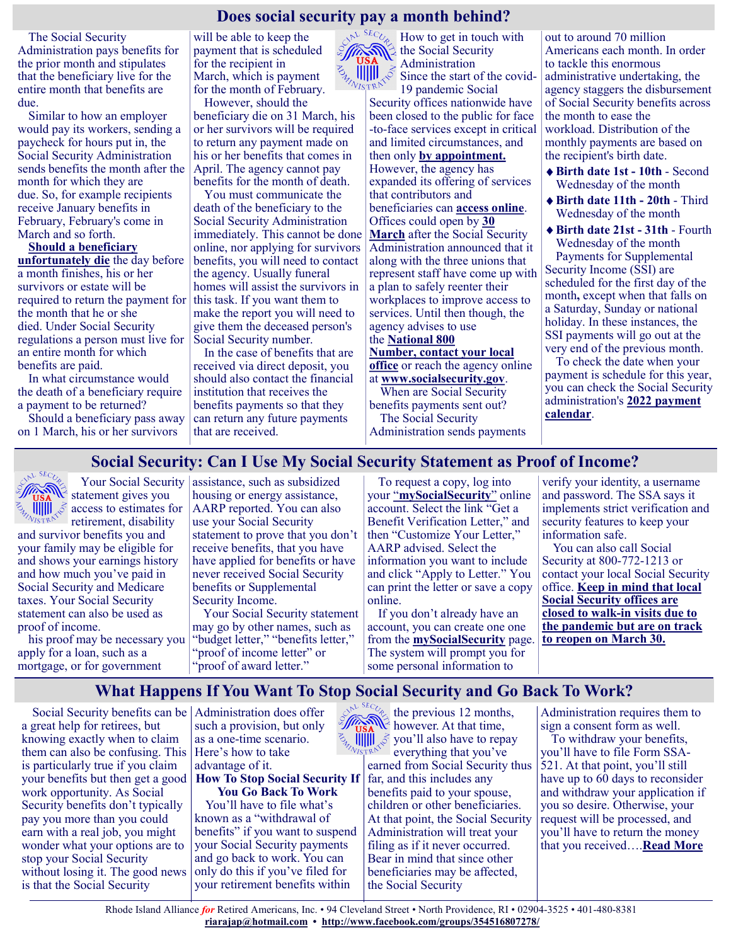# **Does social security pay a month behind?**

The Social Security Administration pays benefits for the prior month and stipulates that the beneficiary live for the entire month that benefits are due.

Similar to how an employer would pay its workers, sending a paycheck for hours put in, the Social Security Administration sends benefits the month after the month for which they are due. So, for example recipients receive January benefits in February, February's come in March and so forth.

**[Should a beneficiary](https://www.ssa.gov/pubs/EN-05-10077.pdf)  [unfortunately die](https://www.ssa.gov/pubs/EN-05-10077.pdf)** the day before a month finishes, his or her survivors or estate will be required to return the payment for the month that he or she died. Under Social Security regulations a person must live for an entire month for which benefits are paid.

In what circumstance would the death of a beneficiary require a payment to be returned?

Should a beneficiary pass away on 1 March, his or her survivors

will be able to keep the payment that is scheduled for the recipient in March, which is payment for the month of February.

However, should the beneficiary die on 31 March, his or her survivors will be required to return any payment made on his or her benefits that comes in April. The agency cannot pay benefits for the month of death.

You must communicate the death of the beneficiary to the Social Security Administration immediately. This cannot be done online, nor applying for survivors benefits, you will need to contact the agency. Usually funeral homes will assist the survivors in this task. If you want them to make the report you will need to give them the deceased person's Social Security number.

In the case of benefits that are received via direct deposit, you should also contact the financial institution that receives the benefits payments so that they can return any future payments that are received.

 $\mathbb{E}^{\mathbb{E} \times \mathbb{E} \times \mathbb{E} \times \mathbb{E} \times \mathbb{E}}$  How to get in touch with the Social Security Administration Since the start of the covid-19 pandemic Social Security offices nationwide have been closed to the public for face -to-face services except in critical and limited circumstances, and then only **[by appointment.](https://en.as.com/en/2022/02/14/latest_news/1644867516_717763.html)** However, the agency has expanded its offering of services that contributors and beneficiaries can **[access online](https://en.as.com/en/2021/11/18/latest_news/1637194031_008679.html)**. Offices could open by **[30](https://www.aarp.org/retirement/social-security/info-2021/field-offices-reopening-plan.html)  [March](https://www.aarp.org/retirement/social-security/info-2021/field-offices-reopening-plan.html)** after the Social Security Administration announced that it along with the three unions that represent staff have come up with a plan to safely reenter their workplaces to improve access to services. Until then though, the agency advises to use the **[National 800](https://en.as.com/en/2022/02/14/latest_news/1644867516_717763.html)  [Number,](https://en.as.com/en/2022/02/14/latest_news/1644867516_717763.html) [contact your local](https://secure.ssa.gov/ICON/main.jsp#officeResults)  [office](https://secure.ssa.gov/ICON/main.jsp#officeResults)** or reach the agency online at **[www.socialsecurity.gov](http://www.socialsecurity.gov/)**.

When are Social Security benefits payments sent out? The Social Security

Administration sends payments

out to around 70 million Americans each month. In order to tackle this enormous administrative undertaking, the agency staggers the disbursement of Social Security benefits across the month to ease the workload. Distribution of the monthly payments are based on the recipient's birth date.

- **Birth date 1st - 10th** Second Wednesday of the month
- **Birth date 11th - 20th** Third Wednesday of the month

**Birth date 21st - 31th** - Fourth Wednesday of the month Payments for Supplemental Security Income (SSI) are scheduled for the first day of the month**,** except when that falls on a Saturday, Sunday or national holiday. In these instances, the SSI payments will go out at the very end of the previous month.

To check the date when your payment is schedule for this year, you can check the Social Security administration's **[2022 payment](https://www.ssa.gov/pubs/EN-05-10031-2022.pdf)  [calendar](https://www.ssa.gov/pubs/EN-05-10031-2022.pdf)**.

# **Social Security: Can I Use My Social Security Statement as Proof of Income?**



 Your Social Security  $\mathscr{W}_{\text{USA}}$  Your Social Secur access to estimates for retirement, disability

and survivor benefits you and your family may be eligible for and shows your earnings history and how much you've paid in Social Security and Medicare taxes. Your Social Security statement can also be used as proof of income.

his proof may be necessary you apply for a loan, such as a mortgage, or for government

assistance, such as subsidized housing or energy assistance, AARP reported. You can also use your Social Security statement to prove that you don't receive benefits, that you have have applied for benefits or have never received Social Security benefits or Supplemental Security Income.

Your Social Security statement may go by other names, such as "budget letter," "benefits letter," "proof of income letter" or "proof of award letter."

To request a copy, log into your "**[mySocialSecurity](https://www.ssa.gov/myaccount/)**" online account. Select the link "Get a Benefit Verification Letter," and then "Customize Your Letter," AARP advised. Select the information you want to include and click "Apply to Letter." You can print the letter or save a copy online.

If you don't already have an account, you can create one one from the **[mySocialSecurity](https://www.ssa.gov/myaccount/)** page. The system will prompt you for some personal information to

verify your identity, a username and password. The SSA says it implements strict verification and security features to keep your information safe.

You can also call Social Security at 800-772-1213 or contact your local Social Security office. **[Keep in mind that local](https://www.gobankingrates.com/retirement/social-security/new-study-logging-on-my-social-security-benefit/?utm_campaign=1156838&utm_source=msn.com&utm_content=6&utm_medium=rss)  [Social Security offices are](https://www.gobankingrates.com/retirement/social-security/new-study-logging-on-my-social-security-benefit/?utm_campaign=1156838&utm_source=msn.com&utm_content=6&utm_medium=rss)  closed to walk-[in visits due to](https://www.gobankingrates.com/retirement/social-security/new-study-logging-on-my-social-security-benefit/?utm_campaign=1156838&utm_source=msn.com&utm_content=6&utm_medium=rss)  [the pandemic but are on track](https://www.gobankingrates.com/retirement/social-security/new-study-logging-on-my-social-security-benefit/?utm_campaign=1156838&utm_source=msn.com&utm_content=6&utm_medium=rss)  [to reopen on March 30.](https://www.gobankingrates.com/retirement/social-security/new-study-logging-on-my-social-security-benefit/?utm_campaign=1156838&utm_source=msn.com&utm_content=6&utm_medium=rss)**

# **What Happens If You Want To Stop Social Security and Go Back To Work?**

Social Security benefits can be Administration does offer a great help for retirees, but knowing exactly when to claim them can also be confusing. This is particularly true if you claim your benefits but then get a good work opportunity. As Social Security benefits don't typically pay you more than you could earn with a real job, you might wonder what your options are to stop your Social Security without losing it. The good news is that the Social Security

such a provision, but only as a one-time scenario. Here's how to take advantage of it.

**How To Stop Social Security If You Go Back To Work**

You'll have to file what's known as a "withdrawal of benefits" if you want to suspend your Social Security payments and go back to work. You can only do this if you've filed for your retirement benefits within

the previous 12 months, however. At that time,  $\mathbb{Z}_{\mathbb{Z}_{\mathbb{Z}_{\mathbb{Z}}[\mathbb{Z}_p]} \times \mathbb{Z}}$  you'll also have to repay everything that you've earned from Social Security thus 521. At that point, you'll still far, and this includes any benefits paid to your spouse, children or other beneficiaries. At that point, the Social Security Administration will treat your filing as if it never occurred. Bear in mind that since other beneficiaries may be affected, the Social Security

Administration requires them to sign a consent form as well.

To withdraw your benefits, you'll have to file Form SSAhave up to 60 days to reconsider and withdraw your application if you so desire. Otherwise, your request will be processed, and you'll have to return the money that you received….**[Read More](https://www.msn.com/en-us/money/retirement/what-happens-if-you-want-to-stop-social-security-and-go-back-to-work/ar-AAQcNKq?ocid=SK2DDHP)**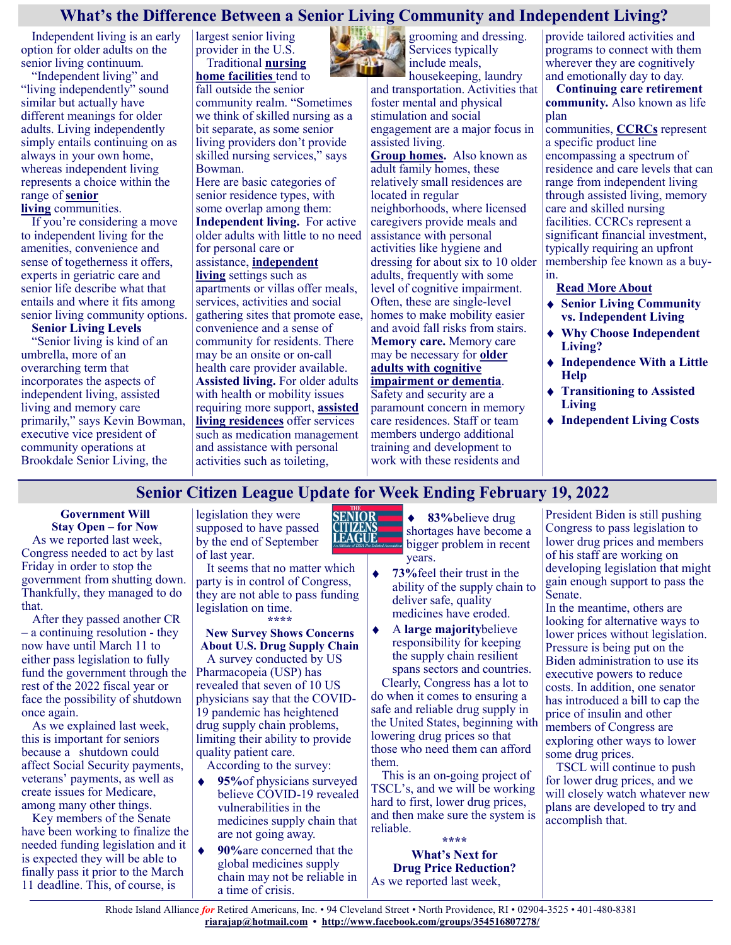# **What's the Difference Between a Senior Living Community and Independent Living?**

Independent living is an early option for older adults on the senior living continuum.

"Independent living" and "living independently" sound similar but actually have different meanings for older adults. Living independently simply entails continuing on as always in your own home, whereas independent living represents a choice within the range of **[senior](https://health.usnews.com/senior-care/caregiving/types-of-long-term-care-facilities)  [living](https://health.usnews.com/senior-care/caregiving/types-of-long-term-care-facilities)** communities.

If you're considering a move to independent living for the amenities, convenience and sense of togetherness it offers, experts in geriatric care and senior life describe what that entails and where it fits among senior living community options.

**Senior Living Levels** "Senior living is kind of an umbrella, more of an overarching term that incorporates the aspects of independent living, assisted living and memory care primarily," says Kevin Bowman, executive vice president of community operations at Brookdale Senior Living, the

largest senior living provider in the U.S. Traditional **[nursing](https://health.usnews.com/best-nursing-homes)** 

**[home facilities](https://health.usnews.com/best-nursing-homes)** tend to fall outside the senior community realm. "Sometimes we think of skilled nursing as a bit separate, as some senior living providers don't provide skilled nursing services," says Bowman.

Here are basic categories of senior residence types, with some overlap among them: **Independent living.** For active older adults with little to no need for personal care or assistance, **[independent](https://health.usnews.com/best-assisted-living/articles/when-to-move-from-independent-living-to-assisted-living)  [living](https://health.usnews.com/best-assisted-living/articles/when-to-move-from-independent-living-to-assisted-living)** settings such as apartments or villas offer meals, services, activities and social gathering sites that promote ease, convenience and a sense of community for residents. There may be an onsite or on-call health care provider available. **Assisted living.** For older adults

with health or mobility issues requiring more support, **[assisted](https://health.usnews.com/best-assisted-living/articles/what-is-assisted-living)  [living residences](https://health.usnews.com/best-assisted-living/articles/what-is-assisted-living)** offer services such as medication management and assistance with personal activities such as toileting,

**grooming and dressing.** Services typically include meals,

housekeeping, laundry and transportation. Activities that foster mental and physical stimulation and social engagement are a major focus in assisted living.

**[Group homes.](https://health.usnews.com/senior-care/caregiving/articles/group-homes)** Also known as adult family homes, these relatively small residences are located in regular neighborhoods, where licensed caregivers provide meals and assistance with personal activities like hygiene and dressing for about six to 10 older adults, frequently with some level of cognitive impairment. Often, these are single-level homes to make mobility easier and avoid fall risks from stairs. **Memory care.** Memory care may be necessary for **[older](https://health.usnews.com/best-assisted-living/articles/dementia-care-in-assisted-living-homes)  [adults with cognitive](https://health.usnews.com/best-assisted-living/articles/dementia-care-in-assisted-living-homes)  [impairment or dementia](https://health.usnews.com/best-assisted-living/articles/dementia-care-in-assisted-living-homes)**. Safety and security are a paramount concern in memory care residences. Staff or team members undergo additional

provide tailored activities and programs to connect with them wherever they are cognitively and emotionally day to day.

**Continuing care retirement community.** Also known as life plan

communities, **[CCRCs](https://health.usnews.com/senior-care/caregiving/articles/continuing-care-retirement-communities)** represent a specific product line encompassing a spectrum of residence and care levels that can range from independent living through assisted living, memory care and skilled nursing facilities. CCRCs represent a significant financial investment, typically requiring an upfront membership fee known as a buyin.

**[Read More About](https://health.usnews.com/senior-care/caregiving/articles/independent-vs-senior-living)**

- **Senior Living Community vs. Independent Living**
- **Why Choose Independent Living?**
- **Independence With a Little Help**
- **Transitioning to Assisted Living**
- **Independent Living Costs**

# **Senior Citizen League Update for Week Ending February 19, 2022**

**Government Will Stay Open – for Now**

As we reported last week, Congress needed to act by last Friday in order to stop the government from shutting down. Thankfully, they managed to do that.

After they passed another CR – a continuing resolution - they now have until March 11 to either pass legislation to fully fund the government through the rest of the 2022 fiscal year or face the possibility of shutdown once again.

As we explained last week, this is important for seniors because a shutdown could affect Social Security payments, veterans' payments, as well as create issues for Medicare, among many other things.

Key members of the Senate have been working to finalize the needed funding legislation and it is expected they will be able to finally pass it prior to the March 11 deadline. This, of course, is

legislation they were supposed to have passed by the end of September of last year.

It seems that no matter which party is in control of Congress, they are not able to pass funding legislation on time. **\*\*\*\***

#### **New Survey Shows Concerns About U.S. Drug Supply Chain**

A survey conducted by US Pharmacopeia (USP) has revealed that seven of 10 US physicians say that the COVID-19 pandemic has heightened drug supply chain problems, limiting their ability to provide quality patient care.

According to the survey:

 $\bullet$ 

- **95%**of physicians surveyed  $\bullet$ believe COVID-19 revealed vulnerabilities in the medicines supply chain that are not going away.
	- **90%**are concerned that the global medicines supply chain may not be reliable in a time of crisis.



 $\blacklozenge$ **83%**believe drug shortages have become a bigger problem in recent years.

training and development to work with these residents and

- $\ddot{\bullet}$ **73%**feel their trust in the ability of the supply chain to deliver safe, quality medicines have eroded.
- A **large majority**believe responsibility for keeping the supply chain resilient spans sectors and countries. Clearly, Congress has a lot to do when it comes to ensuring a safe and reliable drug supply in the United States, beginning with

lowering drug prices so that those who need them can afford them. This is an on-going project of

TSCL's, and we will be working hard to first, lower drug prices, and then make sure the system is reliable. **\*\*\*\***

**What's Next for Drug Price Reduction?** As we reported last week,

President Biden is still pushing Congress to pass legislation to lower drug prices and members of his staff are working on developing legislation that might gain enough support to pass the Senate.

In the meantime, others are looking for alternative ways to lower prices without legislation. Pressure is being put on the Biden administration to use its executive powers to reduce costs. In addition, one senator has introduced a bill to cap the price of insulin and other members of Congress are exploring other ways to lower some drug prices.

TSCL will continue to push for lower drug prices, and we will closely watch whatever new plans are developed to try and accomplish that.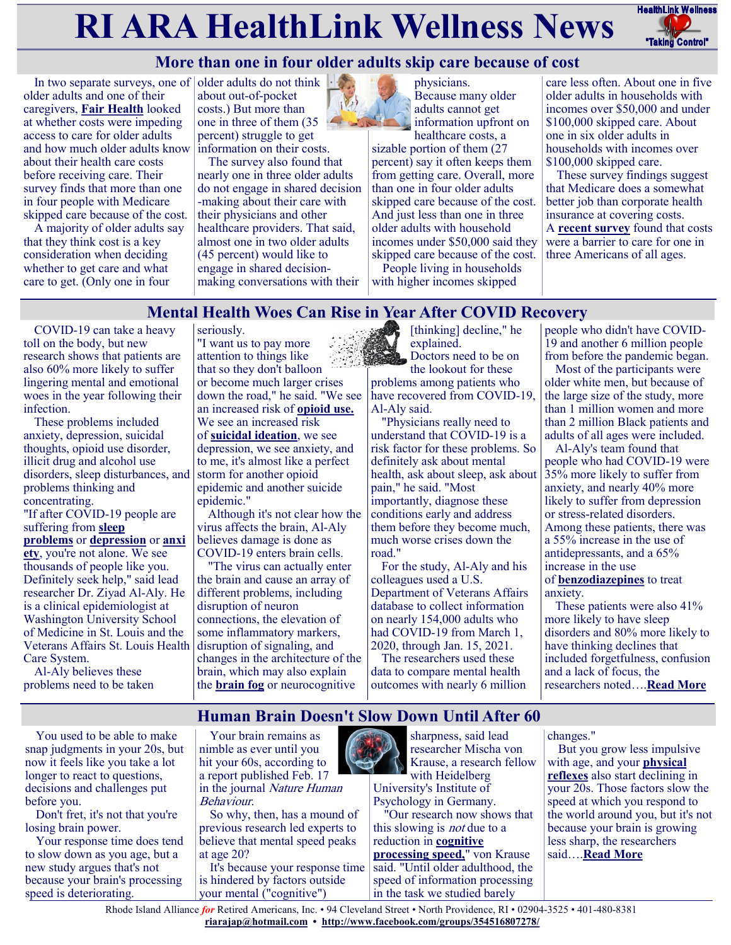# **RI ARA HealthLink Wellness News** Fractific Link Wellness



# **More than one in four older adults skip care because of cost**

In two separate surveys, one of older adults do not think older adults and one of their caregivers, **[Fair Health](https://medicalxpress.com/news/2022-02-adults-reportedly-due-high.html)** looked at whether costs were impeding access to care for older adults and how much older adults know about their health care costs before receiving care. Their survey finds that more than one in four people with Medicare skipped care because of the cost.

A majority of older adults say that they think cost is a key consideration when deciding whether to get care and what care to get. (Only one in four

about out-of-pocket costs.) But more than one in three of them (35 percent) struggle to get information on their costs.

The survey also found that nearly one in three older adults do not engage in shared decision -making about their care with their physicians and other healthcare providers. That said, almost one in two older adults (45 percent) would like to engage in shared decisionmaking conversations with their



information upfront on healthcare costs, a sizable portion of them (27 percent) say it often keeps them from getting care. Overall, more than one in four older adults skipped care because of the cost. And just less than one in three older adults with household incomes under \$50,000 said they skipped care because of the cost.

physicians.

Because many older adults cannot get

People living in households with higher incomes skipped

care less often. About one in five older adults in households with incomes over \$50,000 and under \$100,000 skipped care. About one in six older adults in households with incomes over \$100,000 skipped care.

These survey findings suggest that Medicare does a somewhat better job than corporate health insurance at covering costs. A **[recent survey](https://justcareusa.org/costs-now-keep-one-in-three-americans-from-getting-care/)** found that costs were a barrier to care for one in three Americans of all ages.

# **Mental Health Woes Can Rise in Year After COVID Recovery**

COVID-19 can take a heavy toll on the body, but new research shows that patients are also 60% more likely to suffer lingering mental and emotional woes in the year following their infection.

These problems included anxiety, depression, suicidal thoughts, opioid use disorder, illicit drug and alcohol use disorders, sleep disturbances, and problems thinking and concentrating.

"If after COVID-19 people are suffering from **[sleep](https://my.clevelandclinic.org/health/diseases/12119-insomnia)  [problems](https://my.clevelandclinic.org/health/diseases/12119-insomnia)** or **[depression](https://www.nimh.nih.gov/health/topics/depression)** or **[anxi](https://www.nimh.nih.gov/health/topics/anxiety-disorders) [ety](https://www.nimh.nih.gov/health/topics/anxiety-disorders)**, you're not alone. We see thousands of people like you. Definitely seek help," said lead researcher Dr. Ziyad Al-Aly. He is a clinical epidemiologist at Washington University School of Medicine in St. Louis and the Veterans Affairs St. Louis Health Care System.

Al-Aly believes these problems need to be taken

seriously. "I want us to pay more attention to things like that so they don't balloon or become much larger crises down the road," he said. "We see an increased risk of **[opioid use.](https://www.psychiatry.org/patients-families/addiction/opioid-use-disorder)** We see an increased risk of **[suicidal ideation](https://www.nami.org/Blogs/NAMI-Blog/September-2017/Learning-More-About-Suicidal-Ideation)**, we see depression, we see anxiety, and to me, it's almost like a perfect storm for another opioid epidemic and another suicide epidemic."

Although it's not clear how the virus affects the brain, Al-Aly believes damage is done as COVID-19 enters brain cells.

"The virus can actually enter the brain and cause an array of different problems, including disruption of neuron connections, the elevation of some inflammatory markers, disruption of signaling, and changes in the architecture of the brain, which may also explain the **[brain fog](https://www.health.harvard.edu/blog/what-is-covid-19-brain-fog-and-how-can-you-clear-it-2021030822076)** or neurocognitive

[thinking] decline," he explained. Doctors need to be on

the lookout for these problems among patients who have recovered from COVID-19, Al-Aly said.

"Physicians really need to understand that COVID-19 is a risk factor for these problems. So definitely ask about mental health, ask about sleep, ask about pain," he said. "Most importantly, diagnose these conditions early and address them before they become much, much worse crises down the road."

For the study, Al-Aly and his colleagues used a U.S. Department of Veterans Affairs database to collect information on nearly 154,000 adults who had COVID-19 from March 1, 2020, through Jan. 15, 2021.

The researchers used these data to compare mental health outcomes with nearly 6 million

> sharpness, said lead researcher Mischa von

people who didn't have COVID-19 and another 6 million people from before the pandemic began.

Most of the participants were older white men, but because of the large size of the study, more than 1 million women and more than 2 million Black patients and adults of all ages were included.

Al-Aly's team found that people who had COVID-19 were 35% more likely to suffer from anxiety, and nearly 40% more likely to suffer from depression or stress-related disorders. Among these patients, there was a 55% increase in the use of antidepressants, and a 65% increase in the use of **[benzodiazepines](https://www.rxlist.com/benzodiazepines/drug-class.htm)** to treat

anxiety. These patients were also 41% more likely to have sleep

disorders and 80% more likely to have thinking declines that included forgetfulness, confusion and a lack of focus, the researchers noted….**[Read More](https://consumer.healthday.com/mental-health-2656664401.html)**

**Human Brain Doesn't Slow Down Until After 60**

You used to be able to make snap judgments in your 20s, but now it feels like you take a lot longer to react to questions, decisions and challenges put before you.

Don't fret, it's not that you're losing brain power.

Your response time does tend to slow down as you age, but a new study argues that's not because your brain's processing speed is deteriorating.



So why, then, has a mound of previous research led experts to believe that mental speed peaks at age 20?

It's because your response time is hindered by factors outside your mental ("cognitive")



Krause, a research fellow with Heidelberg University's Institute of Psychology in Germany.

"Our research now shows that this slowing is *not* due to a reduction in **[cognitive](https://www.cognifit.com/science/cognitive-skills/processing-speed#:~:text=Processing%20speed%20is%20a%20cognitive,(language)%2C%20or%20movement.)  [processing speed,](https://www.cognifit.com/science/cognitive-skills/processing-speed#:~:text=Processing%20speed%20is%20a%20cognitive,(language)%2C%20or%20movement.)**" von Krause said. "Until older adulthood, the speed of information processing in the task we studied barely

changes."

But you grow less impulsive with age, and your **[physical](https://www.urmc.rochester.edu/encyclopedia/content.aspx?ContentTypeID=1&ContentID=562)  [reflexes](https://www.urmc.rochester.edu/encyclopedia/content.aspx?ContentTypeID=1&ContentID=562)** also start declining in your 20s. Those factors slow the speed at which you respond to the world around you, but it's not because your brain is growing less sharp, the researchers said….**[Read More](https://consumer.healthday.com/2-16-human-brain-doesn-t-slow-down-till-after-60-2656662274.html)**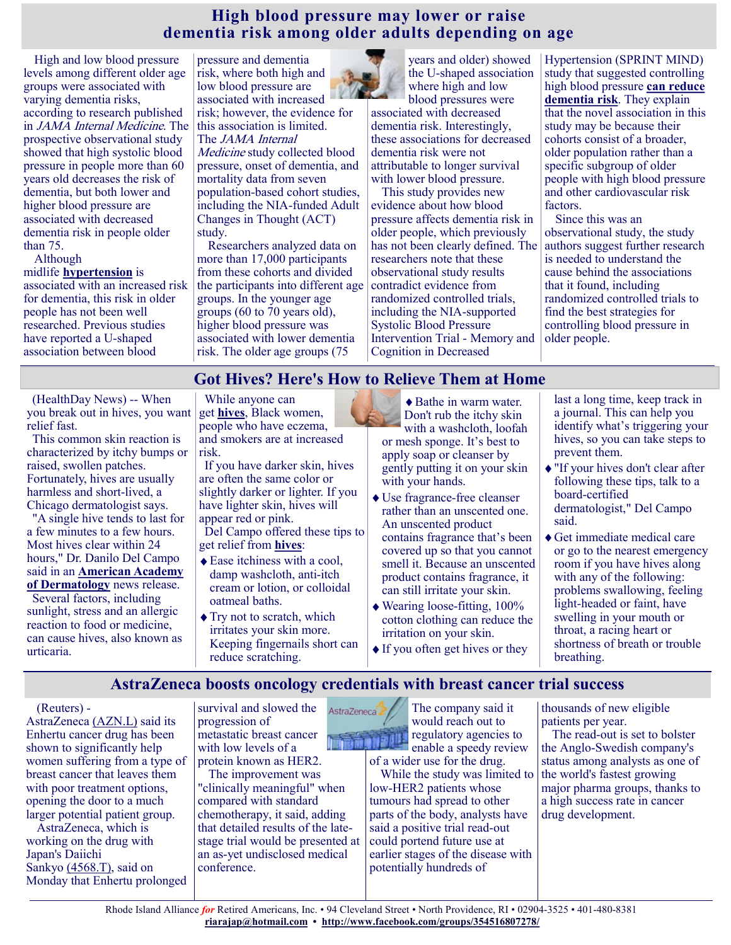# **High blood pressure may lower or raise dementia risk among older adults depending on age**

High and low blood pressure levels among different older age groups were associated with varying dementia risks, according to research published in JAMA Internal Medicine. The prospective observational study showed that high systolic blood pressure in people more than 60 years old decreases the risk of dementia, but both lower and higher blood pressure are associated with decreased dementia risk in people older than 75.

Although

#### midlife **[hypertension](https://www.nia.nih.gov/health/high-blood-pressure-and-older-adults)** is associated with an increased risk for dementia, this risk in older people has not been well researched. Previous studies have reported a U-shaped association between blood

pressure and dementia risk, where both high and low blood pressure are associated with increased risk; however, the evidence for this association is limited. The *JAMA* Internal Medicine study collected blood pressure, onset of dementia, and mortality data from seven population-based cohort studies, including the NIA-funded Adult Changes in Thought (ACT)

study. Researchers analyzed data on more than 17,000 participants from these cohorts and divided the participants into different age groups. In the younger age groups (60 to 70 years old), higher blood pressure was associated with lower dementia risk. The older age groups (75



years and older) showed the U-shaped association where high and low blood pressures were

associated with decreased dementia risk. Interestingly, these associations for decreased dementia risk were not attributable to longer survival with lower blood pressure.

This study provides new evidence about how blood pressure affects dementia risk in older people, which previously has not been clearly defined. The researchers note that these observational study results contradict evidence from randomized controlled trials, including the NIA-supported Systolic Blood Pressure Intervention Trial - Memory and Cognition in Decreased

Hypertension (SPRINT MIND) study that suggested controlling high blood pressure **[can reduce](https://www.nia.nih.gov/news/further-evidence-controlling-high-blood-pressure-can-reduce-dementia-alzheimers-risk)  [dementia risk](https://www.nia.nih.gov/news/further-evidence-controlling-high-blood-pressure-can-reduce-dementia-alzheimers-risk)**. They explain that the novel association in this study may be because their cohorts consist of a broader, older population rather than a specific subgroup of older people with high blood pressure and other cardiovascular risk factors.

Since this was an observational study, the study authors suggest further research is needed to understand the cause behind the associations that it found, including randomized controlled trials to find the best strategies for controlling blood pressure in older people.

# **Got Hives? Here's How to Relieve Them at Home**

(HealthDay News) -- When you break out in hives, you want relief fast.

This common skin reaction is characterized by itchy bumps or raised, swollen patches. Fortunately, hives are usually harmless and short-lived, a Chicago dermatologist says.

"A single hive tends to last for a few minutes to a few hours. Most hives clear within 24 hours," Dr. Danilo Del Campo said in an **[American Academy](https://www.aad.org/public/diseases/a-z/hives-overview)  [of Dermatology](https://www.aad.org/public/diseases/a-z/hives-overview)** news release.

Several factors, including sunlight, stress and an allergic reaction to food or medicine, can cause hives, also known as urticaria.

While anyone can get **[hives](https://my.clevelandclinic.org/health/diseases/8630-urticaria-hives-and-angioedema?view=print)**, Black women, people who have eczema, and smokers are at increased risk.

If you have darker skin, hives are often the same color or slightly darker or lighter. If you have lighter skin, hives will appear red or pink.

Del Campo offered these tips to get relief from **[hives](https://www.mayoclinic.org/diseases-conditions/chronic-hives/symptoms-causes/syc-20352719#:~:text=Hives%20(urticaria)%20are%20red%2C,frequently%20over%20months%20or%20years.)**:

- ◆ Ease itchiness with a cool, damp washcloth, anti-itch cream or lotion, or colloidal oatmeal baths.
- $\blacklozenge$  Try not to scratch, which irritates your skin more. Keeping fingernails short can reduce scratching.

◆ Bathe in warm water. Don't rub the itchy skin with a washcloth, loofah or mesh sponge. It's best to apply soap or cleanser by gently putting it on your skin with your hands.

- Use fragrance-free cleanser rather than an unscented one. An unscented product contains fragrance that's been covered up so that you cannot smell it. Because an unscented product contains fragrance, it can still irritate your skin.
- Wearing loose-fitting, 100% cotton clothing can reduce the irritation on your skin.
- If you often get hives or they

last a long time, keep track in a journal. This can help you identify what's triggering your hives, so you can take steps to prevent them.

- "If your hives don't clear after following these tips, talk to a board-certified dermatologist," Del Campo said.
- Get immediate medical care or go to the nearest emergency room if you have hives along with any of the following: problems swallowing, feeling light-headed or faint, have swelling in your mouth or throat, a racing heart or shortness of breath or trouble breathing.

# **AstraZeneca boosts oncology credentials with breast cancer trial success**

(Reuters) -

AstraZeneca [\(AZN.L\)](https://www.reuters.com/companies/AZN.L) said its Enhertu cancer drug has been shown to significantly help women suffering from a type of breast cancer that leaves them with poor treatment options, opening the door to a much larger potential patient group.

AstraZeneca, which is working on the drug with Japan's Daiichi Sankyo [\(4568.T\),](https://www.reuters.com/companies/4568.T) said on Monday that Enhertu prolonged

survival and slowed the progression of metastatic breast cancer with low levels of a protein known as HER2.

The improvement was "clinically meaningful" when compared with standard chemotherapy, it said, adding that detailed results of the latestage trial would be presented at an as-yet undisclosed medical conference.



enable a speedy review of a wider use for the drug.

While the study was limited to low-HER2 patients whose tumours had spread to other parts of the body, analysts have said a positive trial read-out could portend future use at earlier stages of the disease with potentially hundreds of

thousands of new eligible patients per year.

The read-out is set to bolster the Anglo-Swedish company's status among analysts as one of the world's fastest growing major pharma groups, thanks to a high success rate in cancer drug development.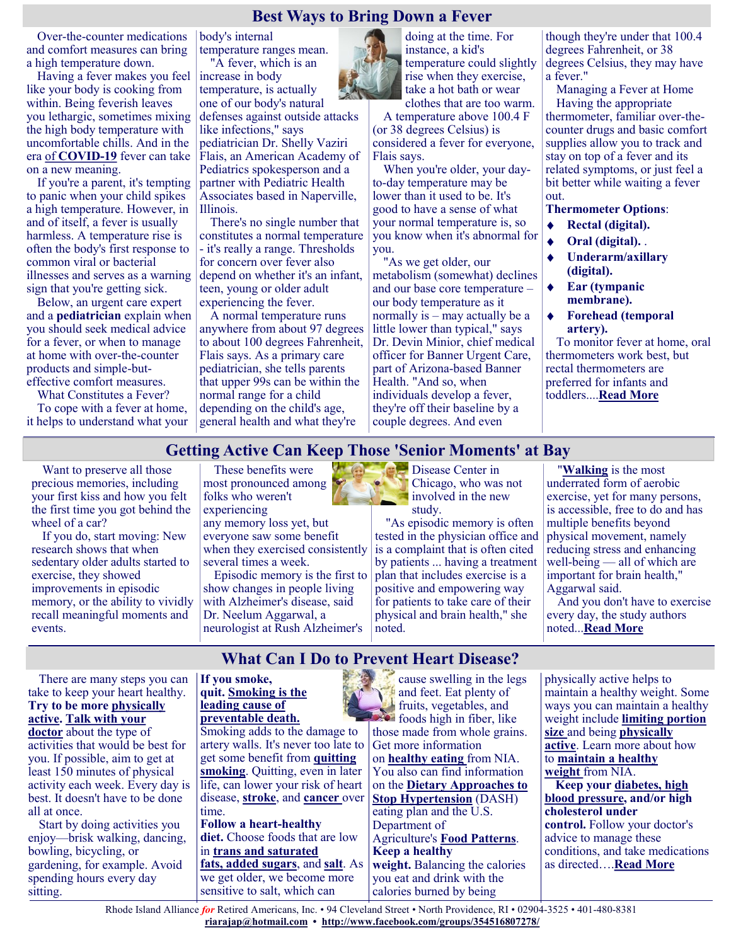## **Best Ways to Bring Down a Fever**

Over-the-counter medications and comfort measures can bring a high temperature down.

Having a fever makes you feel like your body is cooking from within. Being feverish leaves you lethargic, sometimes mixing the high body temperature with uncomfortable chills. And in the era of **[COVID](https://health.usnews.com/conditions/slideshows/coronavirus-symptoms)-19** fever can take on a new meaning.

If you're a parent, it's tempting to panic when your child spikes a high temperature. However, in and of itself, a fever is usually harmless. A temperature rise is often the body's first response to common viral or bacterial illnesses and serves as a warning sign that you're getting sick.

Below, an urgent care expert and a **[pediatrician](https://health.usnews.com/doctors/pediatricians)** explain when you should seek medical advice for a fever, or when to manage at home with over-the-counter products and simple-buteffective comfort measures.

What Constitutes a Fever?

To cope with a fever at home, it helps to understand what your body's internal temperature ranges mean. "A fever, which is an

increase in body temperature, is actually one of our body's natural defenses against outside attacks like infections," says

pediatrician Dr. Shelly Vaziri Flais, an American Academy of Pediatrics spokesperson and a partner with Pediatric Health Associates based in Naperville, Illinois.

There's no single number that constitutes a normal temperature - it's really a range. Thresholds for concern over fever also depend on whether it's an infant, teen, young or older adult experiencing the fever.

A normal temperature runs anywhere from about 97 degrees to about 100 degrees Fahrenheit, Flais says. As a primary care pediatrician, she tells parents that upper 99s can be within the normal range for a child depending on the child's age, general health and what they're



doing at the time. For instance, a kid's temperature could slightly rise when they exercise, take a hot bath or wear clothes that are too warm.

A temperature above 100.4 F (or 38 degrees Celsius) is considered a fever for everyone, Flais says.

When you're older, your dayto-day temperature may be lower than it used to be. It's good to have a sense of what your normal temperature is, so you know when it's abnormal for you.

"As we get older, our metabolism (somewhat) declines and our base core temperature – our body temperature as it normally is – may actually be a little lower than typical," says Dr. Devin Minior, chief medical officer for Banner Urgent Care, part of Arizona-based Banner Health. "And so, when individuals develop a fever, they're off their baseline by a couple degrees. And even

though they're under that 100.4 degrees Fahrenheit, or 38 degrees Celsius, they may have a fever."

Managing a Fever at Home Having the appropriate thermometer, familiar over-thecounter drugs and basic comfort supplies allow you to track and stay on top of a fever and its related symptoms, or just feel a bit better while waiting a fever out.

#### **Thermometer Options**:

- $\blacklozenge$ **Rectal (digital).**
- **Oral (digital).** .
- **Underarm/axillary (digital).**
- **Ear (tympanic**   $\bullet$ **membrane).**
- **Forehead (temporal**  ۰ **artery).**

To monitor fever at home, oral thermometers work best, but rectal thermometers are preferred for infants and toddlers....**[Read More](https://health.usnews.com/health-care/patient-advice/articles/best-ways-to-bring-down-a-fever)**

# **Getting Active Can Keep Those 'Senior Moments' at Bay**

Want to preserve all those precious memories, including your first kiss and how you felt the first time you got behind the wheel of a car?

If you do, start moving: New research shows that when sedentary older adults started to exercise, they showed improvements in episodic memory, or the ability to vividly recall meaningful moments and events.

These benefits were most pronounced among folks who weren't experiencing any [memory loss](https://medlineplus.gov/ency/article/003257.htm#:~:text=Memory%20loss%20(amnesia)%20is%20unusual,can%20get%20worse%20over%20time.) yet, but

everyone saw some benefit when they exercised consistently several times a week.

Episodic memory is the first to show changes in people living with Alzheimer's disease, said Dr. Neelum Aggarwal, a neurologist at Rush Alzheimer's



"As episodic memory is often tested in the physician office and is a complaint that is often cited by patients ... having a treatment plan that includes exercise is a positive and empowering way for patients to take care of their physical and brain health," she noted.

"**[Walking](https://www.healthinaging.org/tools-and-tips/tip-sheet-walking-older-adults)** is the most underrated form of aerobic exercise, yet for many persons, is accessible, free to do and has multiple benefits beyond physical movement, namely reducing stress and enhancing well-being — all of which are important for brain health," Aggarwal said.

And you don't have to exercise every day, the study authors noted...**[Read More](https://consumer.healthday.com/2-21-getting-active-can-keep-those-senior-moments-at-bay-2656708971.html)**

**What Can I Do to Prevent Heart Disease?**

There are many steps you can take to keep your heart healthy. **Try to be more [physically](https://www.nia.nih.gov/health/exercise-physical-activity)  [active.](https://www.nia.nih.gov/health/exercise-physical-activity) [Talk with your](https://www.nia.nih.gov/health/discussing-health-decisions-your-doctor)  [doctor](https://www.nia.nih.gov/health/discussing-health-decisions-your-doctor)** about the type of

activities that would be best for you. If possible, aim to get at least 150 minutes of physical activity each week. Every day is best. It doesn't have to be done all at once.

Start by doing activities you enjoy—brisk walking, dancing, bowling, bicycling, or gardening, for example. Avoid spending hours every day sitting.

#### **If you smoke, quit. [Smoking is the](https://www.cdc.gov/tobacco/data_statistics/fact_sheets/fast_facts/index.htm)  [leading cause of](https://www.cdc.gov/tobacco/data_statistics/fact_sheets/fast_facts/index.htm)  [preventable death.](https://www.cdc.gov/tobacco/data_statistics/fact_sheets/fast_facts/index.htm)**

Smoking adds to the damage to artery walls. It's never too late to get some benefit from **[quitting](https://www.nia.nih.gov/health/quitting-smoking-older-adults)  [smoking](https://www.nia.nih.gov/health/quitting-smoking-older-adults)**. Quitting, even in later life, can lower your risk of heart disease, **[stroke](https://www.nia.nih.gov/health/stroke)**, and **[cancer](https://www.cancer.gov/resources-for/patients)** over time.

**Follow a heart-healthy diet.** Choose foods that are low in **[trans and saturated](https://www.nia.nih.gov/health/important-nutrients-know-proteins-carbohydrates-and-fats)  [fats,](https://www.nia.nih.gov/health/important-nutrients-know-proteins-carbohydrates-and-fats) [added sugars](https://www.nia.nih.gov/health/know-your-food-groups#sofas)**, and **[salt](https://www.nia.nih.gov/health/vitamins-and-minerals)**. As we get older, we become more sensitive to salt, which can

cause swelling in the legs and feet. Eat plenty of **fruits**, vegetables, and  $\bullet$  foods high in fiber, like those made from whole grains. Get more information on **[healthy eating](https://www.nia.nih.gov/health/healthy-eating)** from NIA. You also can find information on the **[Dietary Approaches to](https://www.nia.nih.gov/health/dash-eating-plan)  [Stop Hypertension](https://www.nia.nih.gov/health/dash-eating-plan)** (DASH) eating plan and the U.S. Department of Agriculture's **[Food Patterns](https://www.nia.nih.gov/health/usda-food-patterns)**. **Keep a healthy weight.** Balancing the calories you eat and drink with the calories burned by being

physically active helps to maintain a healthy weight. Some ways you can maintain a healthy weight include **[limiting portion](https://www.nia.nih.gov/health/serving-and-portion-sizes-how-much-should-i-eat)  [size](https://www.nia.nih.gov/health/serving-and-portion-sizes-how-much-should-i-eat)** and being **[physically](https://www.nia.nih.gov/health/exercise-physical-activity)  [active](https://www.nia.nih.gov/health/exercise-physical-activity)**. Learn more about how to **[maintain a healthy](https://www.nia.nih.gov/health/maintaining-healthy-weight)  [weight](https://www.nia.nih.gov/health/maintaining-healthy-weight)** from NIA. **Keep your [diabetes,](https://www.nia.nih.gov/health/diabetes-older-people) high [blood pressure,](https://www.nia.nih.gov/health/high-blood-pressure) and/or high cholesterol under** 

**control.** Follow your doctor's advice to manage these conditions, and take medications as directed….**[Read More](https://www.nia.nih.gov/health/heart-health-and-aging#prevent)**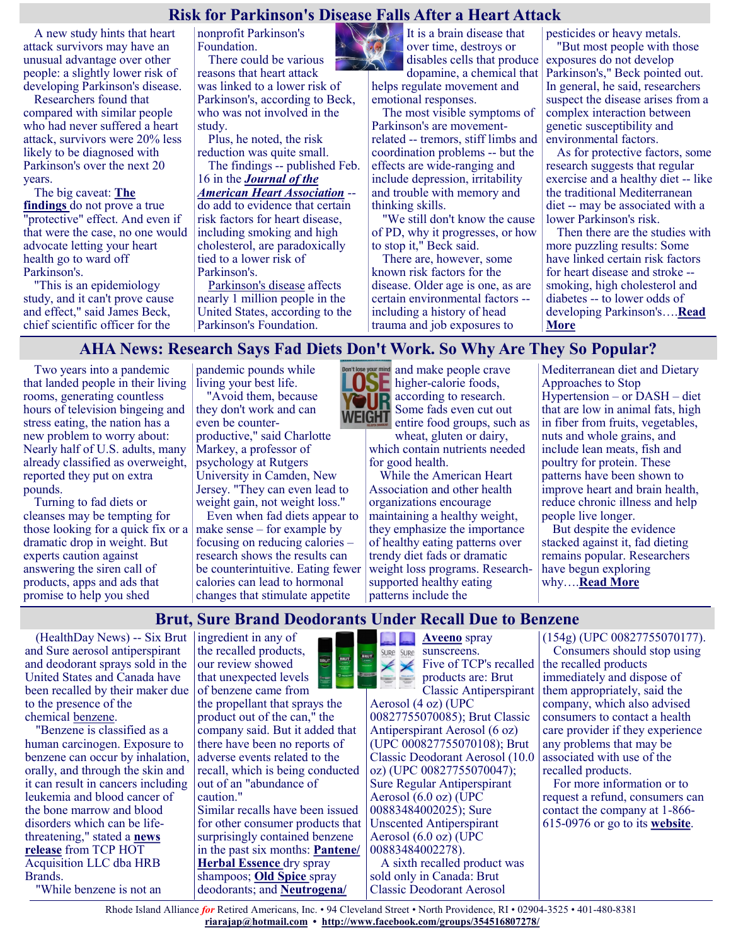# **Risk for Parkinson's Disease Falls After a Heart Attack**

A new study hints that heart attack survivors may have an unusual advantage over other people: a slightly lower risk of developing Parkinson's disease.

Researchers found that compared with similar people who had never suffered a heart attack, survivors were 20% less likely to be diagnosed with Parkinson's over the next 20 years.

The big caveat: **[The](https://www.ahajournals.org/doi/10.1161/JAHA.121.022768)  [findings](https://www.ahajournals.org/doi/10.1161/JAHA.121.022768)** do not prove a true "protective" effect. And even if that were the case, no one would advocate letting your heart health go to ward off Parkinson's.

"This is an epidemiology study, and it can't prove cause and effect," said James Beck, chief scientific officer for the

nonprofit Parkinson's Foundation.

There could be various reasons that heart attack was linked to a lower risk of Parkinson's, according to Beck, who was not involved in the study.

Plus, he noted, the risk reduction was quite small.

The findings -- published Feb. 16 in the *[Journal of the](https://www.ahajournals.org/doi/10.1161/JAHA.121.022768)  [American Heart Association](https://www.ahajournals.org/doi/10.1161/JAHA.121.022768)* - do add to evidence that certain risk factors for heart disease, including smoking and high cholesterol, are paradoxically tied to a lower risk of Parkinson's.

[Parkinson's disease](https://www.mayoclinic.org/diseases-conditions/parkinsons-disease/symptoms-causes/syc-20376055?p=1) affects nearly 1 million people in the United States, according to the Parkinson's Foundation.

It is a brain disease that over time, destroys or disables cells that produce dopamine, a chemical that helps regulate movement and

The most visible symptoms of Parkinson's are movementrelated -- tremors, stiff limbs and coordination problems -- but the effects are wide-ranging and include depression, irritability and trouble with memory and thinking skills.

emotional responses.

"We still don't know the cause of PD, why it progresses, or how to stop it," Beck said.

There are, however, some known risk factors for the disease. Older age is one, as are certain environmental factors - including a history of head trauma and job exposures to

pesticides or heavy metals.

"But most people with those exposures do not develop Parkinson's," Beck pointed out. In general, he said, researchers suspect the disease arises from a complex interaction between genetic susceptibility and environmental factors.

As for protective factors, some research suggests that regular exercise and a healthy diet -- like the traditional Mediterranean diet -- may be associated with a lower Parkinson's risk.

Then there are the studies with more puzzling results: Some have linked certain risk factors for heart disease and stroke - smoking, high cholesterol and diabetes -- to lower odds of developing Parkinson's….**[Read](https://consumer.healthday.com/2-16-risk-for-parkinson-s-disease-falls-after-a-heart-attack-2656635884.html)  [More](https://consumer.healthday.com/2-16-risk-for-parkinson-s-disease-falls-after-a-heart-attack-2656635884.html)**

# **AHA News: Research Says Fad Diets Don't Work. So Why Are They So Popular?**

Two years into a pandemic that landed people in their living rooms, generating countless hours of television bingeing and stress eating, the nation has a new problem to worry about: Nearly half of U.S. adults, many already classified as overweight, reported they put on extra pounds.

Turning to fad diets or cleanses may be tempting for those looking for a quick fix or a dramatic drop in weight. But experts caution against answering the siren call of products, apps and ads that promise to help you shed

pandemic pounds while living your best life. "Avoid them, because

they don't work and can even be counterproductive," said Charlotte Markey, a professor of psychology at Rutgers University in Camden, New Jersey. "They can even lead to weight gain, not weight loss."

Even when fad diets appear to make sense – for example by focusing on reducing calories – research shows the results can be counterintuitive. Eating fewer calories can lead to hormonal changes that stimulate appetite



and make people crave higher-calorie foods, according to research. Some fads even cut out entire food groups, such as

wheat, gluten or dairy, which contain nutrients needed for good health.

While the American Heart Association and other health organizations encourage maintaining a healthy weight, they emphasize the importance of healthy eating patterns over trendy diet fads or dramatic weight loss programs. Researchsupported healthy eating patterns include the

Mediterranean diet and Dietary Approaches to Stop Hypertension – or DASH – diet that are low in animal fats, high in fiber from fruits, vegetables, nuts and whole grains, and include lean meats, fish and poultry for protein. These patterns have been shown to improve heart and brain health, reduce chronic illness and help people live longer.

But despite the evidence stacked against it, fad dieting remains popular. Researchers have begun exploring why….**[Read More](https://consumer.healthday.com/aha-news-research-says-fad-diets-don-t-work-so-why-are-they-so-popular-2656722480.html)**

# **Brut, Sure Brand Deodorants Under Recall Due to Benzene**

(HealthDay News) -- Six Brut and Sure aerosol antiperspirant and deodorant sprays sold in the United States and Canada have been recalled by their maker due to the presence of the chemical [benzene.](https://www.fda.gov/safety/recalls-market-withdrawals-safety-alerts/tcp-hot-acquisition-llc-dba-hrb-brands-issues-voluntary-nationwide-recall-sure-and-brut-aerosol)

"Benzene is classified as a human carcinogen. Exposure to benzene can occur by inhalation, orally, and through the skin and it can result in cancers including leukemia and blood cancer of the bone marrow and blood disorders which can be lifethreatening," stated a **[news](https://www.brutsurerecall2022.com/admin/services/connectedapps.cms.extensions/1.0.0.0/asset?id=65f7c55e-56c6-4fa9-a4bf-cdf17196ebd0&languageId=1033&inline=true)  [release](https://www.brutsurerecall2022.com/admin/services/connectedapps.cms.extensions/1.0.0.0/asset?id=65f7c55e-56c6-4fa9-a4bf-cdf17196ebd0&languageId=1033&inline=true)** from TCP HOT Acquisition LLC dba HRB Brands.

"While benzene is not an

ingredient in any of the recalled products, our review showed that unexpected levels of benzene came from the propellant that sprays the product out of the can," the company said. But it added that there have been no reports of adverse events related to the recall, which is being conducted out of an "abundance of caution."

Similar recalls have been issued for other consumer products that surprisingly contained benzene in the past six months: **[Pantene/](https://consumer.healthday.com/b-12-20-proctor-gamble-issues-recall-of-pantene-herbal-essence-products-due-to-benzene-2656063986.html) [Herbal Essence](https://consumer.healthday.com/b-12-20-proctor-gamble-issues-recall-of-pantene-herbal-essence-products-due-to-benzene-2656063986.html)** dry spray shampoos; **[Old Spice](https://consumer.healthday.com/b-11-30-2655882604.html)** spray deodorants; and **[Neutrogena/](https://consumer.healthday.com/five-neutrogena-and-aveeno-spray-sunscreens-recalled-due-to-benzene-2653792005.html)**



 $\angle \angle$  Five of TCP's recalled products are: Brut

Classic Antiperspirant Aerosol (4 oz) (UPC 00827755070085); Brut Classic Antiperspirant Aerosol (6 oz) (UPC 000827755070108); Brut Classic Deodorant Aerosol (10.0 oz) (UPC 00827755070047); Sure Regular Antiperspirant Aerosol (6.0 oz) (UPC 00883484002025); Sure Unscented Antiperspirant Aerosol (6.0 oz) (UPC 00883484002278). A sixth recalled product was sold only in Canada: Brut Classic Deodorant Aerosol

#### (154g) (UPC 00827755070177).

Consumers should stop using the recalled products immediately and dispose of them appropriately, said the company, which also advised consumers to contact a health care provider if they experience any problems that may be associated with use of the recalled products.

For more information or to request a refund, consumers can contact the company at 1-866- 615-0976 or go to its **[website](https://www.brutsurerecall2022.com/en)**.